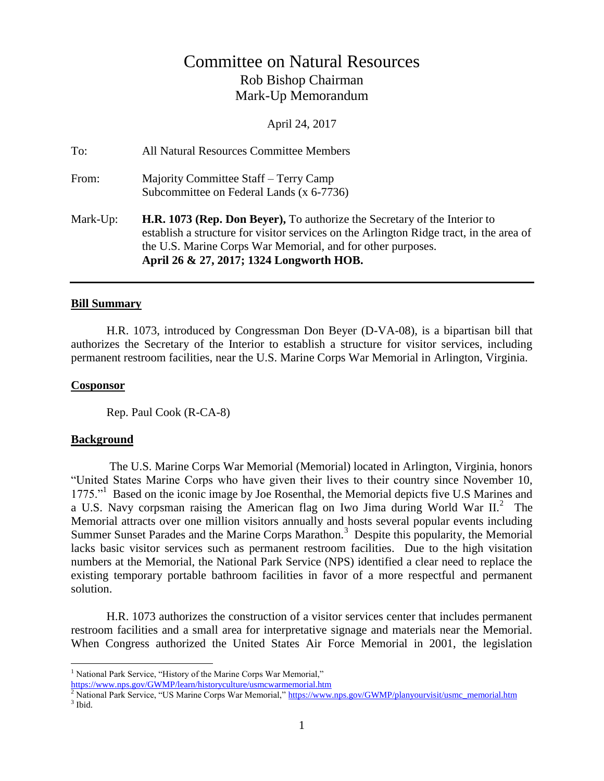# Committee on Natural Resources Rob Bishop Chairman Mark-Up Memorandum

April 24, 2017

| Mark-Up: | <b>H.R. 1073 (Rep. Don Beyer),</b> To authorize the Secretary of the Interior to<br>establish a structure for visitor services on the Arlington Ridge tract, in the area of<br>the U.S. Marine Corps War Memorial, and for other purposes.<br>April 26 & 27, 2017; 1324 Longworth HOB. |
|----------|----------------------------------------------------------------------------------------------------------------------------------------------------------------------------------------------------------------------------------------------------------------------------------------|
| From:    | Majority Committee Staff – Terry Camp<br>Subcommittee on Federal Lands (x 6-7736)                                                                                                                                                                                                      |
| To:      | All Natural Resources Committee Members                                                                                                                                                                                                                                                |

#### **Bill Summary**

H.R. 1073, introduced by Congressman Don Beyer (D-VA-08), is a bipartisan bill that authorizes the Secretary of the Interior to establish a structure for visitor services, including permanent restroom facilities, near the U.S. Marine Corps War Memorial in Arlington, Virginia.

#### **Cosponsor**

Rep. Paul Cook (R-CA-8)

#### **Background**

 $\overline{a}$ 

The U.S. Marine Corps War Memorial (Memorial) located in Arlington, Virginia, honors "United States Marine Corps who have given their lives to their country since November 10, 1775."<sup>1</sup> Based on the iconic image by Joe Rosenthal, the Memorial depicts five U.S Marines and a U.S. Navy corpsman raising the American flag on Iwo Jima during World War II.<sup>2</sup> The Memorial attracts over one million visitors annually and hosts several popular events including Summer Sunset Parades and the Marine Corps Marathon.<sup>3</sup> Despite this popularity, the Memorial lacks basic visitor services such as permanent restroom facilities. Due to the high visitation numbers at the Memorial, the National Park Service (NPS) identified a clear need to replace the existing temporary portable bathroom facilities in favor of a more respectful and permanent solution.

H.R. 1073 authorizes the construction of a visitor services center that includes permanent restroom facilities and a small area for interpretative signage and materials near the Memorial. When Congress authorized the United States Air Force Memorial in 2001, the legislation

<https://www.nps.gov/GWMP/learn/historyculture/usmcwarmemorial.htm>

 $<sup>1</sup>$  National Park Service, "History of the Marine Corps War Memorial,"</sup>

<sup>&</sup>lt;sup>2</sup> National Park Service, "US Marine Corps War Memorial," [https://www.nps.gov/GWMP/planyourvisit/usmc\\_memorial.htm](https://www.nps.gov/GWMP/planyourvisit/usmc_memorial.htm) <sup>3</sup> Ibid.